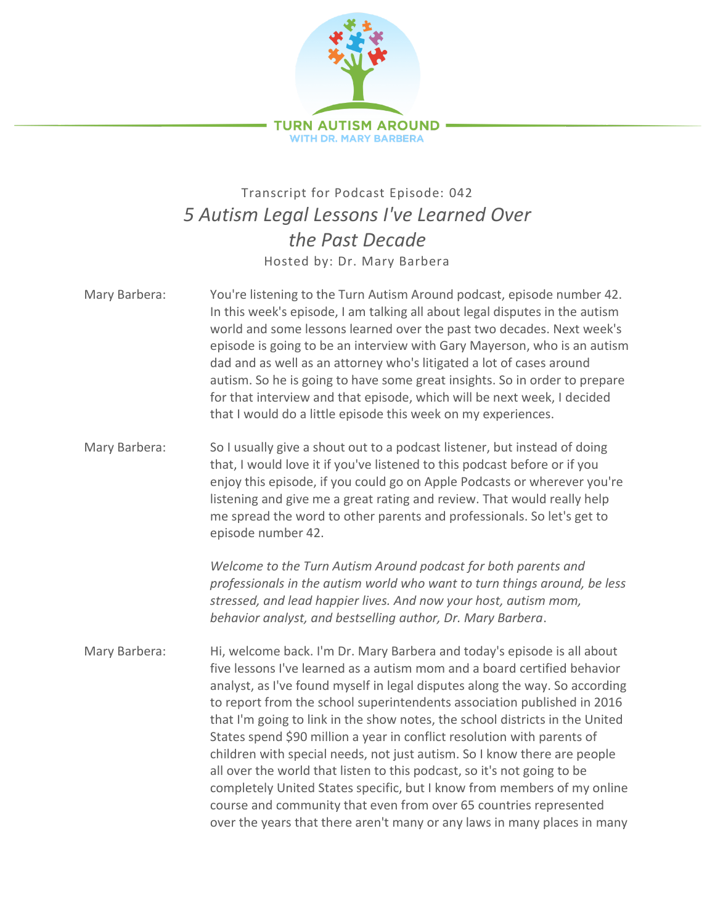

## Transcript for Podcast Episode: 042 *5 Autism Legal Lessons I've Learned Over the Past Decade* Hosted by: Dr. Mary Barbera

- Mary Barbera: You're listening to the Turn Autism Around podcast, episode number 42. In this week's episode, I am talking all about legal disputes in the autism world and some lessons learned over the past two decades. Next week's episode is going to be an interview with Gary Mayerson, who is an autism dad and as well as an attorney who's litigated a lot of cases around autism. So he is going to have some great insights. So in order to prepare for that interview and that episode, which will be next week, I decided that I would do a little episode this week on my experiences.
- Mary Barbera: So I usually give a shout out to a podcast listener, but instead of doing that, I would love it if you've listened to this podcast before or if you enjoy this episode, if you could go on Apple Podcasts or wherever you're listening and give me a great rating and review. That would really help me spread the word to other parents and professionals. So let's get to episode number 42.

*Welcome to the Turn Autism Around podcast for both parents and professionals in the autism world who want to turn things around, be less stressed, and lead happier lives. And now your host, autism mom, behavior analyst, and bestselling author, Dr. Mary Barbera*.

Mary Barbera: Hi, welcome back. I'm Dr. Mary Barbera and today's episode is all about five lessons I've learned as a autism mom and a board certified behavior analyst, as I've found myself in legal disputes along the way. So according to report from the school superintendents association published in 2016 that I'm going to link in the show notes, the school districts in the United States spend \$90 million a year in conflict resolution with parents of children with special needs, not just autism. So I know there are people all over the world that listen to this podcast, so it's not going to be completely United States specific, but I know from members of my online course and community that even from over 65 countries represented over the years that there aren't many or any laws in many places in many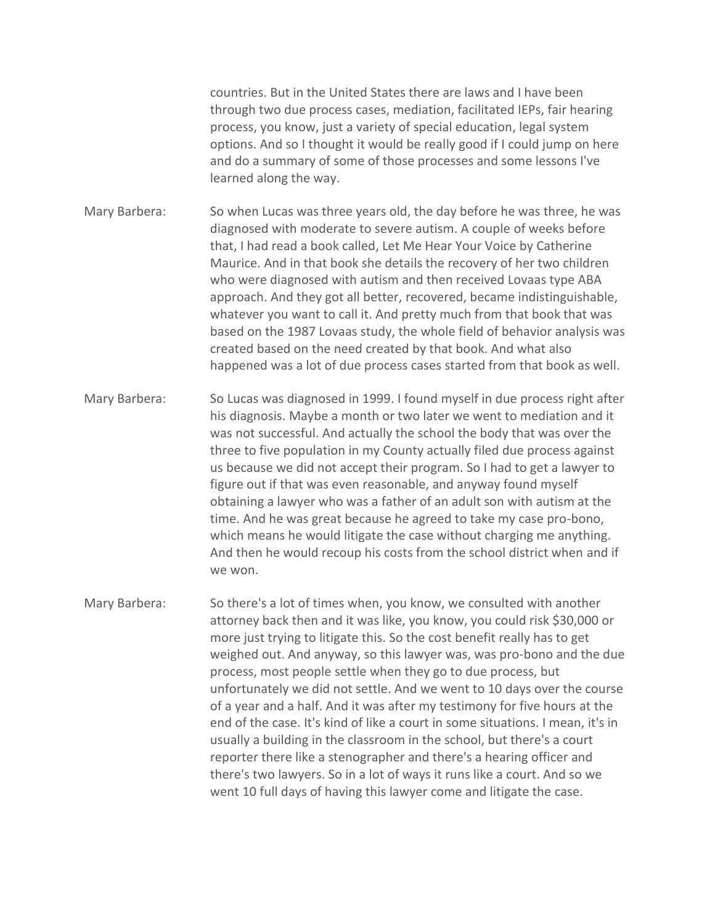countries. But in the United States there are laws and I have been through two due process cases, mediation, facilitated IEPs, fair hearing process, you know, just a variety of special education, legal system options. And so I thought it would be really good if I could jump on here and do a summary of some of those processes and some lessons I've learned along the way.

Mary Barbera: So when Lucas was three years old, the day before he was three, he was diagnosed with moderate to severe autism. A couple of weeks before that, I had read a book called, Let Me Hear Your Voice by Catherine Maurice. And in that book she details the recovery of her two children who were diagnosed with autism and then received Lovaas type ABA approach. And they got all better, recovered, became indistinguishable, whatever you want to call it. And pretty much from that book that was based on the 1987 Lovaas study, the whole field of behavior analysis was created based on the need created by that book. And what also happened was a lot of due process cases started from that book as well.

Mary Barbera: So Lucas was diagnosed in 1999. I found myself in due process right after his diagnosis. Maybe a month or two later we went to mediation and it was not successful. And actually the school the body that was over the three to five population in my County actually filed due process against us because we did not accept their program. So I had to get a lawyer to figure out if that was even reasonable, and anyway found myself obtaining a lawyer who was a father of an adult son with autism at the time. And he was great because he agreed to take my case pro-bono, which means he would litigate the case without charging me anything. And then he would recoup his costs from the school district when and if we won.

Mary Barbera: So there's a lot of times when, you know, we consulted with another attorney back then and it was like, you know, you could risk \$30,000 or more just trying to litigate this. So the cost benefit really has to get weighed out. And anyway, so this lawyer was, was pro-bono and the due process, most people settle when they go to due process, but unfortunately we did not settle. And we went to 10 days over the course of a year and a half. And it was after my testimony for five hours at the end of the case. It's kind of like a court in some situations. I mean, it's in usually a building in the classroom in the school, but there's a court reporter there like a stenographer and there's a hearing officer and there's two lawyers. So in a lot of ways it runs like a court. And so we went 10 full days of having this lawyer come and litigate the case.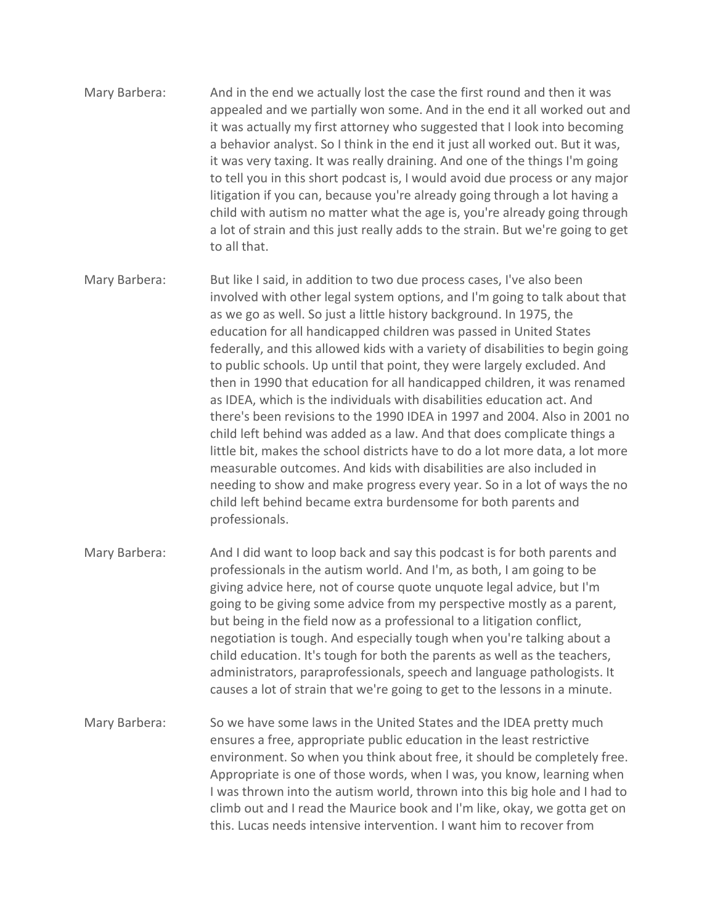- Mary Barbera: And in the end we actually lost the case the first round and then it was appealed and we partially won some. And in the end it all worked out and it was actually my first attorney who suggested that I look into becoming a behavior analyst. So I think in the end it just all worked out. But it was, it was very taxing. It was really draining. And one of the things I'm going to tell you in this short podcast is, I would avoid due process or any major litigation if you can, because you're already going through a lot having a child with autism no matter what the age is, you're already going through a lot of strain and this just really adds to the strain. But we're going to get to all that.
- Mary Barbera: But like I said, in addition to two due process cases, I've also been involved with other legal system options, and I'm going to talk about that as we go as well. So just a little history background. In 1975, the education for all handicapped children was passed in United States federally, and this allowed kids with a variety of disabilities to begin going to public schools. Up until that point, they were largely excluded. And then in 1990 that education for all handicapped children, it was renamed as IDEA, which is the individuals with disabilities education act. And there's been revisions to the 1990 IDEA in 1997 and 2004. Also in 2001 no child left behind was added as a law. And that does complicate things a little bit, makes the school districts have to do a lot more data, a lot more measurable outcomes. And kids with disabilities are also included in needing to show and make progress every year. So in a lot of ways the no child left behind became extra burdensome for both parents and professionals.
- Mary Barbera: And I did want to loop back and say this podcast is for both parents and professionals in the autism world. And I'm, as both, I am going to be giving advice here, not of course quote unquote legal advice, but I'm going to be giving some advice from my perspective mostly as a parent, but being in the field now as a professional to a litigation conflict, negotiation is tough. And especially tough when you're talking about a child education. It's tough for both the parents as well as the teachers, administrators, paraprofessionals, speech and language pathologists. It causes a lot of strain that we're going to get to the lessons in a minute.
- Mary Barbera: So we have some laws in the United States and the IDEA pretty much ensures a free, appropriate public education in the least restrictive environment. So when you think about free, it should be completely free. Appropriate is one of those words, when I was, you know, learning when I was thrown into the autism world, thrown into this big hole and I had to climb out and I read the Maurice book and I'm like, okay, we gotta get on this. Lucas needs intensive intervention. I want him to recover from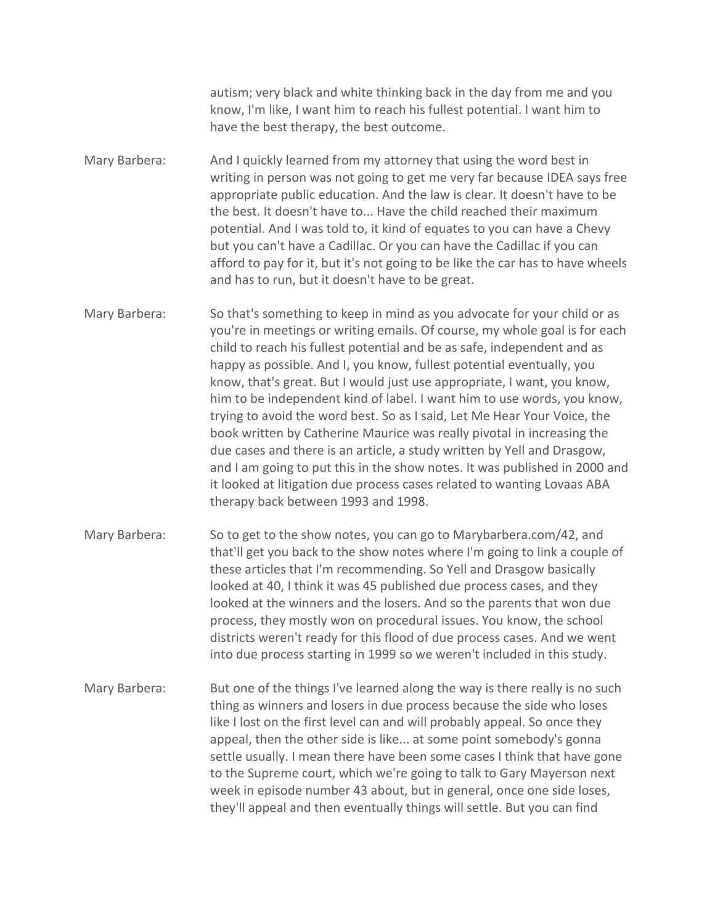autism; very black and white thinking back in the day from me and you know, I'm like, I want him to reach his fullest potential. I want him to have the best therapy, the best outcome.

- Mary Barbera: And I quickly learned from my attorney that using the word best in writing in person was not going to get me very far because IDEA says free appropriate public education. And the law is clear. It doesn't have to be the best. It doesn't have to... Have the child reached their maximum potential. And I was told to, it kind of equates to you can have a Chevy but you can't have a Cadillac. Or you can have the Cadillac if you can afford to pay for it, but it's not going to be like the car has to have wheels and has to run, but it doesn't have to be great.
- Mary Barbera: So that's something to keep in mind as you advocate for your child or as you're in meetings or writing emails. Of course, my whole goal is for each child to reach his fullest potential and be as safe, independent and as happy as possible. And I, you know, fullest potential eventually, you know, that's great. But I would just use appropriate, I want, you know, him to be independent kind of label. I want him to use words, you know, trying to avoid the word best. So as I said, Let Me Hear Your Voice, the book written by Catherine Maurice was really pivotal in increasing the due cases and there is an article, a study written by Yell and Drasgow, and I am going to put this in the show notes. It was published in 2000 and it looked at litigation due process cases related to wanting Lovaas ABA therapy back between 1993 and 1998.
- Mary Barbera: So to get to the show notes, you can go to Marybarbera.com/42, and that'll get you back to the show notes where I'm going to link a couple of these articles that I'm recommending. So Yell and Drasgow basically looked at 40, I think it was 45 published due process cases, and they looked at the winners and the losers. And so the parents that won due process, they mostly won on procedural issues. You know, the school districts weren't ready for this flood of due process cases. And we went into due process starting in 1999 so we weren't included in this study.
- Mary Barbera: But one of the things I've learned along the way is there really is no such thing as winners and losers in due process because the side who loses like I lost on the first level can and will probably appeal. So once they appeal, then the other side is like... at some point somebody's gonna settle usually. I mean there have been some cases I think that have gone to the Supreme court, which we're going to talk to Gary Mayerson next week in episode number 43 about, but in general, once one side loses, they'll appeal and then eventually things will settle. But you can find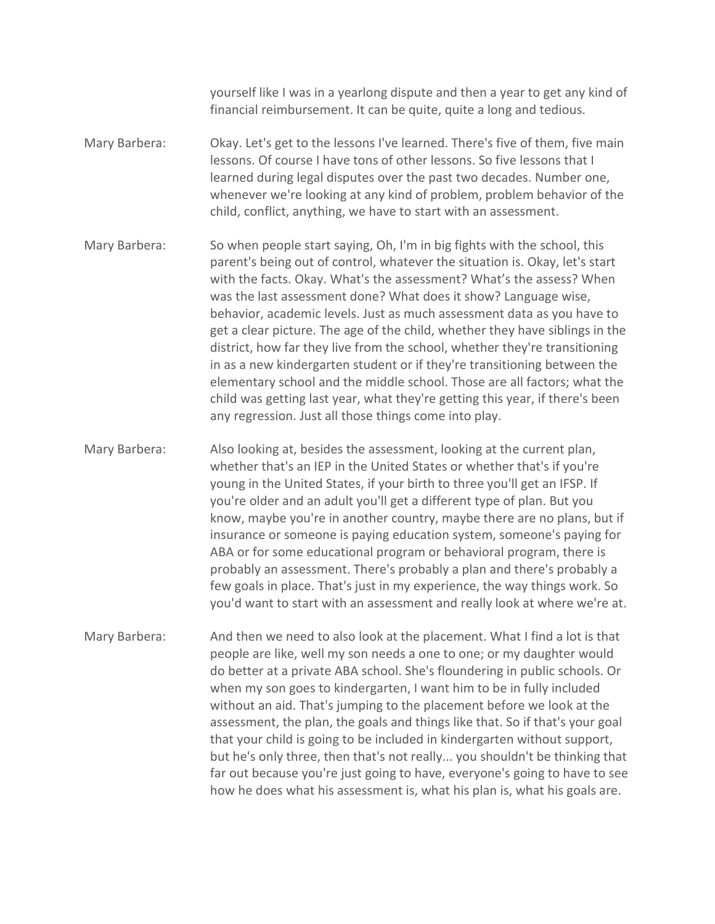yourself like I was in a yearlong dispute and then a year to get any kind of financial reimbursement. It can be quite, quite a long and tedious.

- Mary Barbera: Okay. Let's get to the lessons I've learned. There's five of them, five main lessons. Of course I have tons of other lessons. So five lessons that I learned during legal disputes over the past two decades. Number one, whenever we're looking at any kind of problem, problem behavior of the child, conflict, anything, we have to start with an assessment.
- Mary Barbera: So when people start saying, Oh, I'm in big fights with the school, this parent's being out of control, whatever the situation is. Okay, let's start with the facts. Okay. What's the assessment? What's the assess? When was the last assessment done? What does it show? Language wise, behavior, academic levels. Just as much assessment data as you have to get a clear picture. The age of the child, whether they have siblings in the district, how far they live from the school, whether they're transitioning in as a new kindergarten student or if they're transitioning between the elementary school and the middle school. Those are all factors; what the child was getting last year, what they're getting this year, if there's been any regression. Just all those things come into play.
- Mary Barbera: Also looking at, besides the assessment, looking at the current plan, whether that's an IEP in the United States or whether that's if you're young in the United States, if your birth to three you'll get an IFSP. If you're older and an adult you'll get a different type of plan. But you know, maybe you're in another country, maybe there are no plans, but if insurance or someone is paying education system, someone's paying for ABA or for some educational program or behavioral program, there is probably an assessment. There's probably a plan and there's probably a few goals in place. That's just in my experience, the way things work. So you'd want to start with an assessment and really look at where we're at.
- Mary Barbera: And then we need to also look at the placement. What I find a lot is that people are like, well my son needs a one to one; or my daughter would do better at a private ABA school. She's floundering in public schools. Or when my son goes to kindergarten, I want him to be in fully included without an aid. That's jumping to the placement before we look at the assessment, the plan, the goals and things like that. So if that's your goal that your child is going to be included in kindergarten without support, but he's only three, then that's not really... you shouldn't be thinking that far out because you're just going to have, everyone's going to have to see how he does what his assessment is, what his plan is, what his goals are.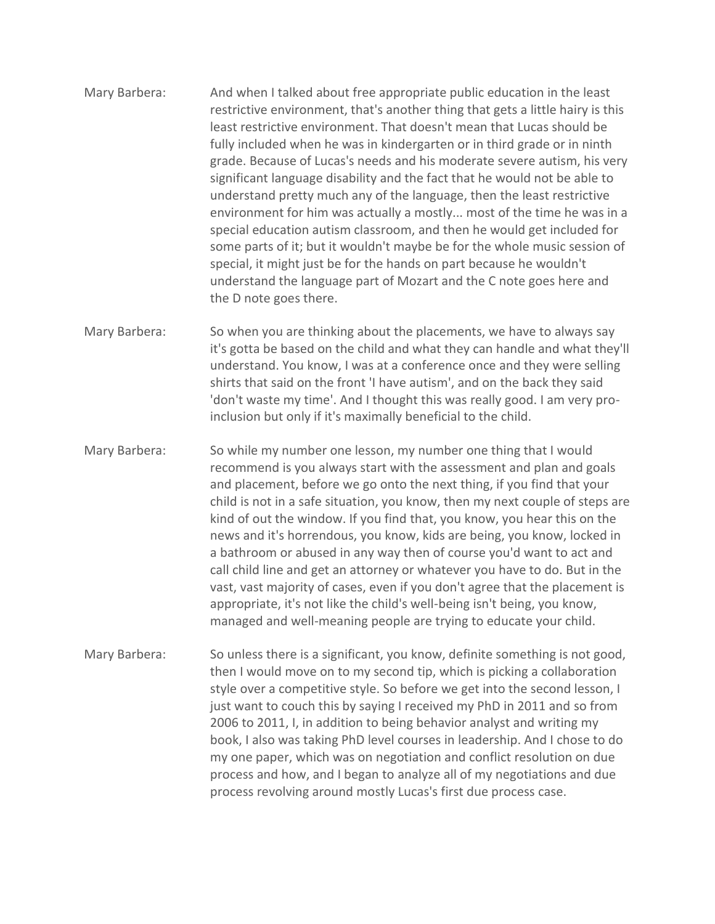- Mary Barbera: And when I talked about free appropriate public education in the least restrictive environment, that's another thing that gets a little hairy is this least restrictive environment. That doesn't mean that Lucas should be fully included when he was in kindergarten or in third grade or in ninth grade. Because of Lucas's needs and his moderate severe autism, his very significant language disability and the fact that he would not be able to understand pretty much any of the language, then the least restrictive environment for him was actually a mostly... most of the time he was in a special education autism classroom, and then he would get included for some parts of it; but it wouldn't maybe be for the whole music session of special, it might just be for the hands on part because he wouldn't understand the language part of Mozart and the C note goes here and the D note goes there.
- Mary Barbera: So when you are thinking about the placements, we have to always say it's gotta be based on the child and what they can handle and what they'll understand. You know, I was at a conference once and they were selling shirts that said on the front 'I have autism', and on the back they said 'don't waste my time'. And I thought this was really good. I am very proinclusion but only if it's maximally beneficial to the child.
- Mary Barbera: So while my number one lesson, my number one thing that I would recommend is you always start with the assessment and plan and goals and placement, before we go onto the next thing, if you find that your child is not in a safe situation, you know, then my next couple of steps are kind of out the window. If you find that, you know, you hear this on the news and it's horrendous, you know, kids are being, you know, locked in a bathroom or abused in any way then of course you'd want to act and call child line and get an attorney or whatever you have to do. But in the vast, vast majority of cases, even if you don't agree that the placement is appropriate, it's not like the child's well-being isn't being, you know, managed and well-meaning people are trying to educate your child.
- Mary Barbera: So unless there is a significant, you know, definite something is not good, then I would move on to my second tip, which is picking a collaboration style over a competitive style. So before we get into the second lesson, I just want to couch this by saying I received my PhD in 2011 and so from 2006 to 2011, I, in addition to being behavior analyst and writing my book, I also was taking PhD level courses in leadership. And I chose to do my one paper, which was on negotiation and conflict resolution on due process and how, and I began to analyze all of my negotiations and due process revolving around mostly Lucas's first due process case.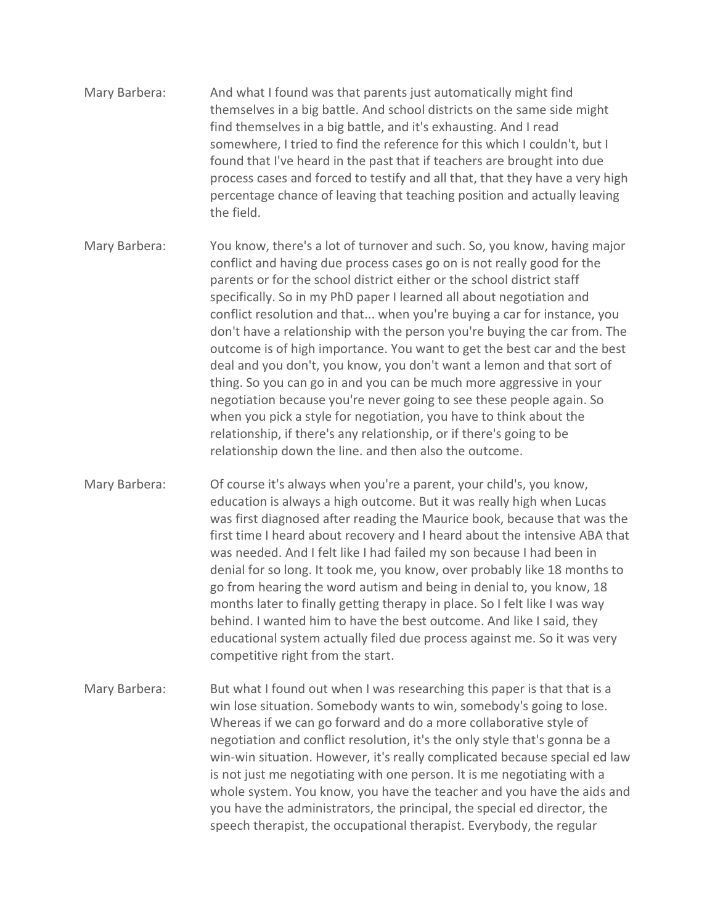- Mary Barbera: And what I found was that parents just automatically might find themselves in a big battle. And school districts on the same side might find themselves in a big battle, and it's exhausting. And I read somewhere, I tried to find the reference for this which I couldn't, but I found that I've heard in the past that if teachers are brought into due process cases and forced to testify and all that, that they have a very high percentage chance of leaving that teaching position and actually leaving the field.
- Mary Barbera: You know, there's a lot of turnover and such. So, you know, having major conflict and having due process cases go on is not really good for the parents or for the school district either or the school district staff specifically. So in my PhD paper I learned all about negotiation and conflict resolution and that... when you're buying a car for instance, you don't have a relationship with the person you're buying the car from. The outcome is of high importance. You want to get the best car and the best deal and you don't, you know, you don't want a lemon and that sort of thing. So you can go in and you can be much more aggressive in your negotiation because you're never going to see these people again. So when you pick a style for negotiation, you have to think about the relationship, if there's any relationship, or if there's going to be relationship down the line. and then also the outcome.
- Mary Barbera: Of course it's always when you're a parent, your child's, you know, education is always a high outcome. But it was really high when Lucas was first diagnosed after reading the Maurice book, because that was the first time I heard about recovery and I heard about the intensive ABA that was needed. And I felt like I had failed my son because I had been in denial for so long. It took me, you know, over probably like 18 months to go from hearing the word autism and being in denial to, you know, 18 months later to finally getting therapy in place. So I felt like I was way behind. I wanted him to have the best outcome. And like I said, they educational system actually filed due process against me. So it was very competitive right from the start.
- Mary Barbera: But what I found out when I was researching this paper is that that is a win lose situation. Somebody wants to win, somebody's going to lose. Whereas if we can go forward and do a more collaborative style of negotiation and conflict resolution, it's the only style that's gonna be a win-win situation. However, it's really complicated because special ed law is not just me negotiating with one person. It is me negotiating with a whole system. You know, you have the teacher and you have the aids and you have the administrators, the principal, the special ed director, the speech therapist, the occupational therapist. Everybody, the regular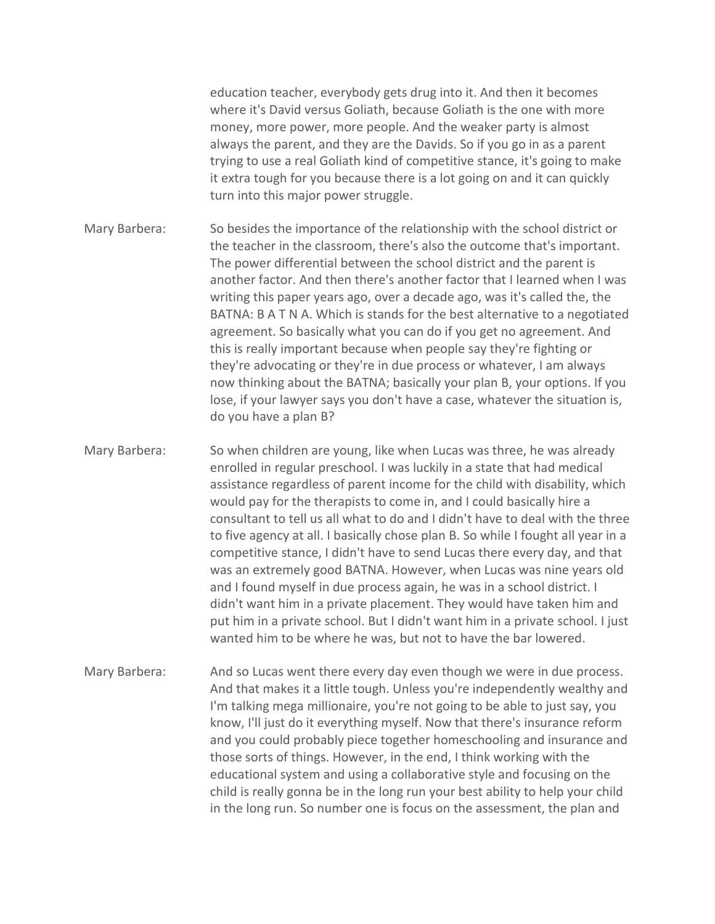education teacher, everybody gets drug into it. And then it becomes where it's David versus Goliath, because Goliath is the one with more money, more power, more people. And the weaker party is almost always the parent, and they are the Davids. So if you go in as a parent trying to use a real Goliath kind of competitive stance, it's going to make it extra tough for you because there is a lot going on and it can quickly turn into this major power struggle.

Mary Barbera: So besides the importance of the relationship with the school district or the teacher in the classroom, there's also the outcome that's important. The power differential between the school district and the parent is another factor. And then there's another factor that I learned when I was writing this paper years ago, over a decade ago, was it's called the, the BATNA: B A T N A. Which is stands for the best alternative to a negotiated agreement. So basically what you can do if you get no agreement. And this is really important because when people say they're fighting or they're advocating or they're in due process or whatever, I am always now thinking about the BATNA; basically your plan B, your options. If you lose, if your lawyer says you don't have a case, whatever the situation is, do you have a plan B?

Mary Barbera: So when children are young, like when Lucas was three, he was already enrolled in regular preschool. I was luckily in a state that had medical assistance regardless of parent income for the child with disability, which would pay for the therapists to come in, and I could basically hire a consultant to tell us all what to do and I didn't have to deal with the three to five agency at all. I basically chose plan B. So while I fought all year in a competitive stance, I didn't have to send Lucas there every day, and that was an extremely good BATNA. However, when Lucas was nine years old and I found myself in due process again, he was in a school district. I didn't want him in a private placement. They would have taken him and put him in a private school. But I didn't want him in a private school. I just wanted him to be where he was, but not to have the bar lowered.

Mary Barbera: And so Lucas went there every day even though we were in due process. And that makes it a little tough. Unless you're independently wealthy and I'm talking mega millionaire, you're not going to be able to just say, you know, I'll just do it everything myself. Now that there's insurance reform and you could probably piece together homeschooling and insurance and those sorts of things. However, in the end, I think working with the educational system and using a collaborative style and focusing on the child is really gonna be in the long run your best ability to help your child in the long run. So number one is focus on the assessment, the plan and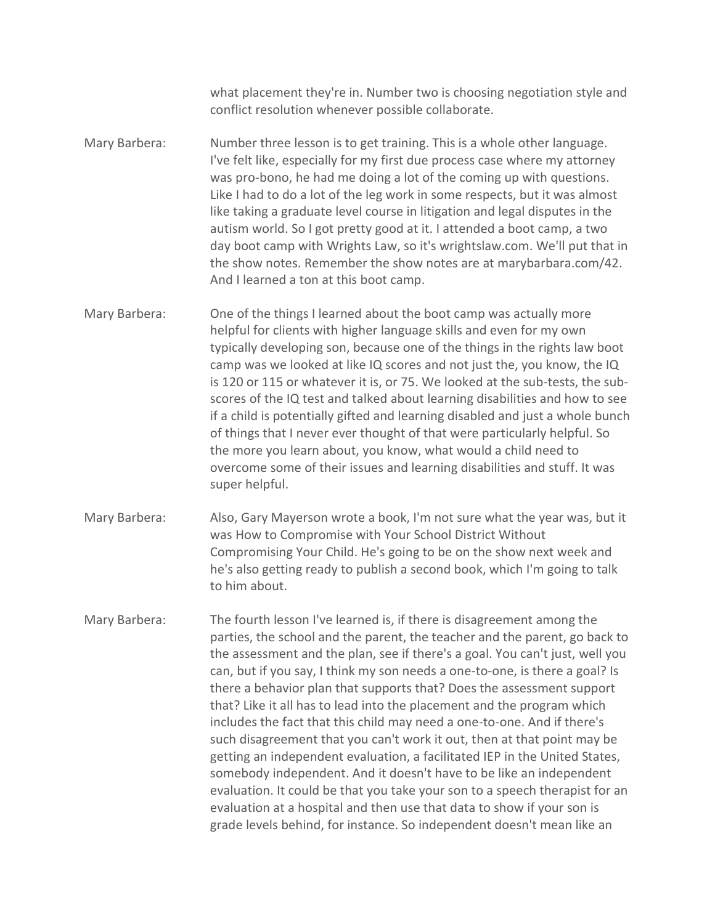what placement they're in. Number two is choosing negotiation style and conflict resolution whenever possible collaborate.

- Mary Barbera: Number three lesson is to get training. This is a whole other language. I've felt like, especially for my first due process case where my attorney was pro-bono, he had me doing a lot of the coming up with questions. Like I had to do a lot of the leg work in some respects, but it was almost like taking a graduate level course in litigation and legal disputes in the autism world. So I got pretty good at it. I attended a boot camp, a two day boot camp with Wrights Law, so it's wrightslaw.com. We'll put that in the show notes. Remember the show notes are at marybarbara.com/42. And I learned a ton at this boot camp.
- Mary Barbera: One of the things I learned about the boot camp was actually more helpful for clients with higher language skills and even for my own typically developing son, because one of the things in the rights law boot camp was we looked at like IQ scores and not just the, you know, the IQ is 120 or 115 or whatever it is, or 75. We looked at the sub-tests, the subscores of the IQ test and talked about learning disabilities and how to see if a child is potentially gifted and learning disabled and just a whole bunch of things that I never ever thought of that were particularly helpful. So the more you learn about, you know, what would a child need to overcome some of their issues and learning disabilities and stuff. It was super helpful.
- Mary Barbera: Also, Gary Mayerson wrote a book, I'm not sure what the year was, but it was How to Compromise with Your School District Without Compromising Your Child. He's going to be on the show next week and he's also getting ready to publish a second book, which I'm going to talk to him about.
- Mary Barbera: The fourth lesson I've learned is, if there is disagreement among the parties, the school and the parent, the teacher and the parent, go back to the assessment and the plan, see if there's a goal. You can't just, well you can, but if you say, I think my son needs a one-to-one, is there a goal? Is there a behavior plan that supports that? Does the assessment support that? Like it all has to lead into the placement and the program which includes the fact that this child may need a one-to-one. And if there's such disagreement that you can't work it out, then at that point may be getting an independent evaluation, a facilitated IEP in the United States, somebody independent. And it doesn't have to be like an independent evaluation. It could be that you take your son to a speech therapist for an evaluation at a hospital and then use that data to show if your son is grade levels behind, for instance. So independent doesn't mean like an